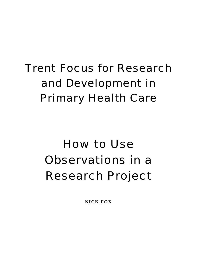# Trent Focus for Research and Development in Primary Health Care

# How to Use Observations in a Research Project

**NICK FOX**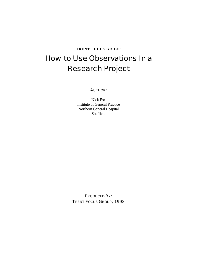#### **TRENT FOCUS GROUP**

# How to Use Observations In a Research Project

#### AUTHOR:

Nick Fox Institute of General Practice Northern General Hospital Sheffield

PRODUCED BY: TRENT FOCUS GROUP, 1998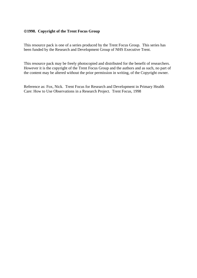#### **1998. Copyright of the Trent Focus Group**

This resource pack is one of a series produced by the Trent Focus Group. This series has been funded by the Research and Development Group of NHS Executive Trent.

This resource pack may be freely photocopied and distributed for the benefit of researchers. However it is the copyright of the Trent Focus Group and the authors and as such, no part of the content may be altered without the prior permission in writing, of the Copyright owner.

Reference as: Fox, Nick. Trent Focus for Research and Development in Primary Health Care: How to Use Observations in a Research Project. Trent Focus, 1998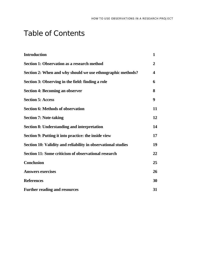# Table of Contents

| <b>Introduction</b>                                           | $\mathbf{1}$            |
|---------------------------------------------------------------|-------------------------|
| <b>Section 1: Observation as a research method</b>            | $\boldsymbol{2}$        |
| Section 2: When and why should we use ethnographic methods?   | $\overline{\mathbf{4}}$ |
| Section 3: Observing in the field: finding a role             | 6                       |
| <b>Section 4: Becoming an observer</b>                        | 8                       |
| <b>Section 5: Access</b>                                      | 9                       |
| <b>Section 6: Methods of observation</b>                      | 11                      |
| <b>Section 7: Note-taking</b>                                 | 12                      |
| <b>Section 8: Understanding and interpretation</b>            | 14                      |
| Section 9: Putting it into practice: the inside view          | 17                      |
| Section 10: Validity and reliability in observational studies | 19                      |
| Section 11: Some criticism of observational research          | 22                      |
| <b>Conclusion</b>                                             | 25                      |
| <b>Answers exercises</b>                                      | 26                      |
| <b>References</b>                                             | 30                      |
| <b>Further reading and resources</b>                          | 31                      |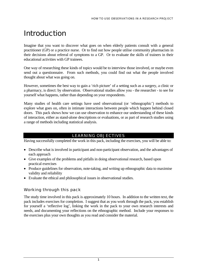# **Introduction**

Imagine that you want to discover what goes on when elderly patients consult with a general practitioner (GP) or a practice nurse. Or to find out how people utilise community pharmacists in their decisions about referral of symptoms to a GP. Or to evaluate the skills of trainers in their educational activities with GP trainees.

One way of researching these kinds of topics would be to interview those involved, or maybe even send out a questionnaire. From such methods, you could find out what the people involved thought about what was going on.

However, sometimes the best way to gain a 'rich picture' of a setting such as a surgery, a clinic or a pharmacy, is direct: by observation. Observational studies allow you - the researcher - to see for yourself what happens, rather than depending on your respondents.

Many studies of health care settings have used observational (or 'ethnographic') methods to explore what goes on, often in intimate interactions between people which happen behind closed doors. This pack shows how we can use observation to enhance our understanding of these kinds of interaction, either as stand-alone descriptions or evaluations, or as part of research studies using a range of methods including statistical analysis.

## LEARNING OBJECTIVES

Having successfully completed the work in this pack, including the exercises, you will be able to:

- Describe what is involved in participant and non-participant observation, and the advantages of each approach
- Give examples of the problems and pitfalls in doing observational research, based upon practical exercises
- Produce guidelines for observation, note-taking, and writing up ethnographic data to maximise validity and reliability
- Evaluate the ethical and philosophical issues in observational studies.

## Working through this pack

The study time involved in this pack is approximately 10 hours. In addition to the written text, the pack includes exercises for completion. I suggest that as you work through the pack, you establish for yourself a 'reflective log', linking the work in the pack to your own research interests and needs, and documenting your reflections on the ethnographic method. Include your responses to the exercises plus your own thoughts as you read and consider the material.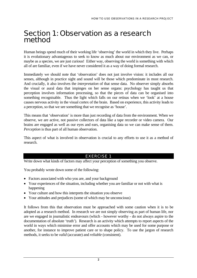## Section 1: Observation as a research method

Human beings spend much of their working life 'observing' the world in which they live. Perhaps it is evolutionary advantageous to seek to know as much about our environment as we can, or maybe as a species, we are just curious! Either way, observing the world is something with which all of are familiar, even if we have never considered it as a way of doing formal research.

Immediately we should note that 'observation' does not just involve vision: it includes all our senses, although in practice sight and sound will be those which predominate in most research. And crucially, it also involves the *interpretation* of that sense data. No observer simply absorbs the visual or aural data that impinges on her sense organs: psychology has taught us that perception involves information processing, so that the pieces of data can be organised into something recognisable. Thus the light which falls on our retinas when we 'look' at a house causes nervous activity in the visual cortex of the brain. Based on experience, this activity leads to a perception, so that we see something that we recognise as 'house'.

This means that 'observation' is more than just recording of data from the environment. When we observe, we are active, not passive collectors of data like a tape recorder or video camera. Our brains are engaged as well as our eyes and ears, organising data so we can make sense of them. *Perception* is thus part of all human observation.

This aspect of what is involved in observation is crucial to any efforts to use it as a method of research.

## EXERCISE 1

Write down what kinds of factors may affect your perception of something you observe.

You probably wrote down some of the following:

- Factors associated with who you are, and your background
- Your experiences of the situation, including whether you are familiar or not with what is happening
- Your culture and how this interprets the situation you observe
- Your attitudes and prejudices (some of which may be unconscious)

It follows from this that observation must be approached with some caution when it is to be adopted as a research method. In research we are not simply observing as part of human life, nor are we engaged in journalistic endeavours (which - however worthy - do not always aspire to the documentation of absolute 'truth'). Research is an activity which attempts to report aspects of the world in ways which minimise error and offer accounts which may be used for some purpose or another, for instance to improve patient care or to shape policy. To use the jargon of research methods, it seeks to be *valid* (accurate) and *reliable* (consistent).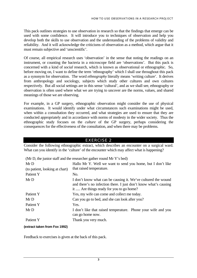#### HOW TO USE OBSERVATIONS IN A RESEARCH PROJECT

This pack outlines strategies to use observation in research so that the findings that emerge can be used with some confidence. It will introduce you to techniques of observation and help you develop both the skills to use observation and the understanding of the problems of validity and reliability. And it will acknowledge the criticisms of observation as a method, which argue that it must remain subjective and 'unscientific'.

Of course, all empirical research uses 'observation' in the sense that noting the readings on an instrument, or counting the bacteria in a microscope field are 'observations'. But this pack is concerned with a kind of *social* research, which is known as observational or ethnographic. So, before moving on, I want to define the term 'ethnography' which I shall use throughout this pack as a synonym for observation. The word *ethnography* literally means 'writing culture'. It derives from anthropology and sociology, subjects which study other cultures and own cultures respectively. But all social settings are in this sense 'cultural', and as we shall see, ethnography or observation is often used where what we are trying to uncover are the norms, values, and shared meanings of those we are observing.

For example, in a GP surgery, ethnographic observation might consider the use of physical examinations. It would identify under what circumstances such examinations might be used, when within a consultation they occurred, and what strategies are used to ensure that they are conducted appropriately and in accordance with norms of modesty in the wider society. Thus the ethnographic study focuses on the *culture* of the GP surgery, perhaps considering the consequences for the effectiveness of the consultation, and when there may be problems.

#### EXERCISE 2

Consider the following ethnographic extract, which describes an encounter on a surgical ward. What can you identify in the 'culture' of the encounter which may affect what is happening?

| (Mr D, the junior staff and the researcher gather round Mr Y's bed) |                                                                                                                                                                               |  |  |
|---------------------------------------------------------------------|-------------------------------------------------------------------------------------------------------------------------------------------------------------------------------|--|--|
| MrD                                                                 | Hallo Mr Y. Well we want to send you home, but I don't like                                                                                                                   |  |  |
| (to patient, looking at chart)                                      | that raised temperature.                                                                                                                                                      |  |  |
| Patient Y                                                           | No.                                                                                                                                                                           |  |  |
| MrD                                                                 | I don't know what can be causing it. We've cultured the wound<br>and there's no infection there. I just don't know what's causing<br>it  Are things ready for you to go home? |  |  |
| Patient Y                                                           | Yes, my wife can come and collect me today.                                                                                                                                   |  |  |
| MrD                                                                 | Can you go to bed, and she can look after you?                                                                                                                                |  |  |
| Patient Y                                                           | Yes.                                                                                                                                                                          |  |  |
| MrD                                                                 | I don't like that raised temperature. Phone your wife and you<br>can go home now.                                                                                             |  |  |
| Patient Y                                                           | Thank you very much.                                                                                                                                                          |  |  |

#### **(extract taken from Fox 1992)**

Feedback to exercises is given at the back of this pack.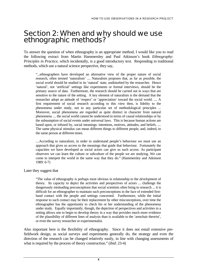## Section 2: When and why should we use ethnographic methods?

To answer the question of when ethnography is an appropriate method, I would like you to read the following extract from Martin Hammersley and Paul Atkinson's book *Ethnography: Principles in Practice*, which incidentally, is a good introductory text. Responding to traditional methods, which use a natural science perspective, they say,

"...ethnographers have developed an alternative view of the proper nature of social research, often termed 'naturalism' .... Naturalism proposes that, as far as possible, the social world should be studied in its 'natural' state, undisturbed by the researcher. Hence 'natural', not 'artificial' settings like experiments or formal interviews, should be the primary source of data. Furthermore, the research should be carried out in ways that are sensitive to the nature of the setting. A key element of naturalism is the demand that the researcher adopt an attitude of 'respect' or 'appreciation' toward the social world. .... A first requirement of social research according to this view then, is fidelity to the phenomena under study, not to any particular set of methodological principles ... Moreover, social phenomena are regarded as quite distinct in character from natural phenomena .... the social world cannot be understood in terms of causal relationships or by the subsumption of social events under universal laws. This is because human actions are based upon, or infused by, social meanings: intentions, motives, attitudes, and beliefs. .... The same physical stimulus can mean different things to different people, and, indeed, to the same person at different times.

....According to naturalism, in order to understand people's behaviour we must use an approach that gives us access to the meanings that guide that behaviour. Fortunately the capacities we have developed as social actors can give us such access. As participant observers we can learn the culture or subculture of the people we are studying. We can come to interpret the world in the same way that they do." (Hammersley and Atkinson 1989: 6-7)

Later they suggest that

"The value of ethnography is perhaps most obvious in relationship to the *development* of theory. Its capacity to depict the activities and perspectives of actors ... challenge the dangerously misleading preconceptions that social scientists often bring to research ... it is difficult for an ethnographer to maintain such preconceptions in the face of extended firsthand contact with the people and settings concerned. Furthermore, while the initial response to such contact may be their replacement by other misconceptions, over time the ethnographer has the opportunity to check his or her understanding of the phenomena under study. Equally importantly, though, the depiction of perspectives and activities in a setting allows one to begin to develop theory in a way that provides much more evidence of the plausibility of different lines of analysis than is available to the 'armchair theorist', or even the survey researcher or experimentalist.

Also important here is the flexibility of ethnography. Since it does not entail extensive prefieldwork design, as social surveys and experiments generally do, the strategy and even the direction of the research can be changed relatively easily, in line with changing assessments of what is required by the process of theory construction." (ibid: 23-4)

4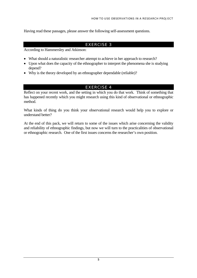Having read these passages, please answer the following self-assessment questions.

#### EXERCISE 3

According to Hammersley and Atkinson:

- What should a naturalistic researcher attempt to achieve in her approach to research?
- Upon what does the capacity of the ethnographer to interpret the phenomena she is studying depend?
- Why is the theory developed by an ethnographer dependable (reliable)?

## EXERCISE 4

Reflect on your recent work, and the setting in which you do that work. Think of something that has happened recently which you might research using this kind of observational or ethnographic method.

What kinds of thing do you think your observational research would help you to explore or understand better?

At the end of this pack, we will return to some of the issues which arise concerning the validity and reliability of ethnographic findings, but now we will turn to the practicalities of observational or ethnographic research. One of the first issues concerns the researcher's own position.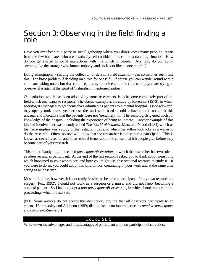## Section 3: Observing in the field: finding a role

Have you ever been at a party or social gathering where you don't know many people? Apart from the few fortunates who are absolutely self-confident, this can be a daunting situation. How do you get started in social interactions with this bunch of people? And how do you avoid seeming like the stranger who knows nobody, and sticks out like a 'sore thumb'?

Doing ethnography - starting the collection of data in a field situation - can sometimes seem like this. The basic problem if deciding on a role for oneself. Of course you can wander round with a clipboard taking notes, but that could seem very intrusive and affect the setting you are trying to observe (it is against the spirit of 'naturalism' mentioned earlier).

One solution, which has been adopted by some researchers, is to become completely part of the field which one wants to research. The classic example is the study by Rosenhan (1973), in which sociologists managed to get themselves admitted as patients to a mental hospital. Once admitted, they openly took notes, yet because the staff were used to odd behaviour, did not think this unusual and indicative that the patients were not 'genuinely' ill. The sociologists gained in-depth knowledge of the hospital, including the experience of being an inmate. Another example of this kind of involvement was a study called *The World of Waiters*, Mars and Nicod (1984) which as the name implies was a study of the restaurant trade, in which the author took jobs as a waiter to do the research! Often, no one will know that the researcher is other than a participant. This is known as *covert* research and raises ethical issues about the consent which people give before they become part of your research.

This kind of study might be called *participant observation*, in which the researcher has two roles as observer and as participant. At the end of the last section I asked you to think about something which happened in your workplace, and how you might use observational research to study it.. If you were to do so, you could adopt this kind of role, continuing in your work and at the same time acting as an observer.

Most of the time, however, it is not really feasible to become a participant. In my own research on surgery (Fox, 1992), I could not work as a surgeon or a nurse, and did not fancy becoming a surgical patient! So I had to adopt a *non-participant observer* role, in which I took no part in the proceedings which I observed.

(N.B. Some authors do not accept this distinction, arguing that all observers participate to an extent. Hammersley and Atkinson (1989) distinguish a continuum between *complete participants* and *complete observers*.)

## EXERCISE 5

Write down the advantages and disadvantages of participant and non-participant observation.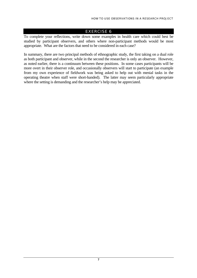#### EXERCISE 6

To complete your reflections, write down some examples in health care which could best be studied by participant observers, and others where non-participant methods would be most appropriate. What are the factors that need to be considered in each case?

In summary, there are two principal methods of ethnographic study, the first taking on a dual role as both participant and observer, while in the second the researcher is only an observer. However, as noted earlier, there is a continuum between these positions. In some cases participants will be more overt in their observer role, and occasionally observers will start to participate (an example from my own experience of fieldwork was being asked to help out with menial tasks in the operating theatre when staff were short-handed). The latter may seem particularly appropriate where the setting is demanding and the researcher's help may be appreciated.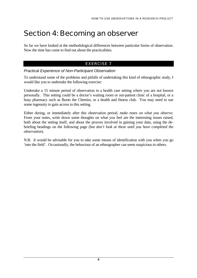# Section 4: Becoming an observer

So far we have looked at the methodological differences between particular forms of observation. Now the time has come to find out about the practicalities.

#### EXERCISE 7

#### *Practical Experience of Non-Participant Observation*

To understand some of the problems and pitfalls of undertaking this kind of ethnographic study, I would like you to undertake the following exercise:

Undertake a 15 minute period of observation in a health care setting where you are not known personally. This setting could be a doctor's waiting room or out-patient clinic of a hospital, or a busy pharmacy such as Boots the Chemist, or a health and fitness club. You may need to use some ingenuity to gain access to this setting.

Either during, or immediately after this observation period, *make notes on what you observe.*  From your notes, write down some thoughts on what you feel are the interesting issues raised, both about the setting itself, and about the process involved in gaining your data, using the debriefing headings on the following page (*but don't look at these until you have completed the observation*).

N.B. It would be advisable for you to take some means of identification with you when you go 'into the field'. Occasionally, the behaviour of an ethnographer can seem suspicious to others.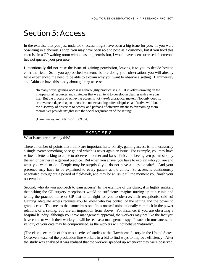# Section 5: Access

In the exercise that you just undertook, access might have been a big issue for you. If you were observing in a chemist's shop, you may have been able to pose as a customer, but if you tried this exercise in a GP waiting room without asking permission, I would have been surprised if someone had not queried your presence.

I intentionally did not raise the issue of gaining permission, leaving it to you to decide how to enter the field. So if you approached someone before doing your observation, you will already have experienced the need to be able to explain why you want to observe a setting. Hammersley and Atkinson have this to say about gaining access:

'In many ways, gaining access is a thoroughly practical issue ... it involves drawing on the interpersonal resources and strategies that we all tend to develop in dealing with everyday life. But the process of achieving access is not *merely* a practical matter. Not only does its achievement depend upon theoretical understanding, often disguised as 'native wit', but the discovery of obstacles to access, and perhaps of effective means to overcoming them, themselves provide insights into the social organisation of the setting'

(Hammersley and Atkinson 1989: 54)

## EXERCISE 8

What issues are raised by this?

There a number of points that I think are important here. Firstly, gaining access is not necessarily a single event: something once gained which is never again an issue. For example, you may have written a letter asking to come to observe a mother-and-baby clinic, and been given permission by the senior partner in a general practice. But when you arrive, you have to explain who you are and what you want to do. People may be surprised you do not have a questionnaire!. And your presence may have to be explained to every patient at the clinic. So access is continuously negotiated throughout a period of fieldwork, and may be an issue till the moment you finish your observation

Second, who do you approach to gain access? In the example of the clinic, it is highly unlikely that asking the GP surgery receptionist would be sufficient: imagine turning up at a clinic and telling the practice nurse or GP that its all right for you to observe: their receptionist said so! Gaining adequate access requires you to know who has control of the setting and the power to grant access. This means that sometimes one finds oneself unintentionally complicit in the power relations of a setting, you are an imposition from above. For instance, if you are observing a hospital laundry, although you have management approval, the workers may not like the fact you have come to watch their work: you will be seen as a management spy. In such circumstances, the validity of your data may be compromised, as the workers will not behave 'naturally'.

(The classic example of this was a series of studies at the Hawthorne factory in the United States. Observers watched the production line workers in a bid to find ways to improve efficiency. After the study was analysed it was realised that the workers speeded up whenever they were observed,

9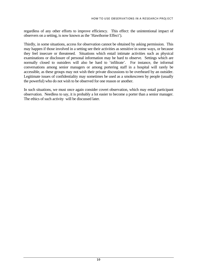regardless of any other efforts to improve efficiency. This effect: the unintentional impact of observers on a setting, is now known as the 'Hawthorne Effect').

Thirdly, in some situations, access for observation cannot be obtained by asking permission. This may happen if those involved in a setting see their activities as sensitive in some ways, or because they feel insecure or threatened. Situations which entail intimate activities such as physical examinations or disclosure of personal information may be hard to observe. Settings which are normally closed to outsiders will also be hard to 'infiltrate'. For instance, the informal conversations among senior managers or among portering staff in a hospital will rarely be accessible, as these groups may not wish their private discussions to be overheard by an outsider. Legitimate issues of confidentiality may sometimes be used as a smokescreen by people (usually the powerful) who do not wish to be observed for one reason or another.

In such situations, we must once again consider covert observation, which may entail participant observation. Needless to say, it is probably a lot easier to become a porter than a senior manager. The ethics of such activity will be discussed later.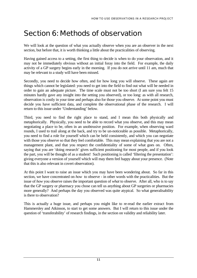# Section 6: Methods of observation

We will look at the question of what you actually observe when you are an observer in the next section, but before that, it is worth thinking a little about the practicalities of observing.

Having gained access to a setting, the first thing to decide is when to do your observation, and it may not be immediately obvious without an initial foray into the field. For example, the daily activity of a GP surgery begins early in the morning. If you do not arrive until 11 am, much that may be relevant to a study will have been missed.

Secondly, you need to decide how often, and for how long you will observe. These again are things which cannot be legislated: you need to get into the field to find out what will be needed in order to gain an adequate picture. The time scale must not be too short (I am sure you felt 15 minutes hardly gave any insight into the setting you observed), or too long: as with all research, observation is costly in your time and perhaps also for those you observe. At some point you must decide you have sufficient data, and complete the observational phase of the research. I will return to this issue under 'Understanding' below.

Third, you need to find the right place to stand, and I mean this both physically and metaphorically. Physically, you need to be able to record what you observe, and this may mean negotiating a place to be, often in an unobtrusive position. For example, when observing ward rounds, I used to trail along at the back, and try to be un-noticeable as possible. Metaphorically, you need to find a role for yourself which can be held consistently, and which you can negotiate with those you observe so that they feel comfortable. This may mean explaining that you are not a management plant, and that you respect the confidentiality of some of what goes on. Often, saying that you are 'doing research' gives sufficient positioning for most people, and if you look the part, you will be thought of as a student! Such positioning is called 'filtering the presentation': giving everyone a version of yourself which will may them feel happy about your presence. (Note that this is also relevant in covert observation).

At this point I want to raise an issue which you may have been wondering about. So far in this section, we have concentrated on *how* to observe - in other words with the practicalities. But the issue of *how* you observe raises the important question of *what* to observe. After all, who is to say that the GP surgery or pharmacy you chose can tell us anything about GP surgeries or pharmacies more generally? And perhaps the day you observed was quite atypical. So what generalisability is there to observation?

This is actually a huge issue, and perhaps you might like to re-read the earlier extract from Hammersley and Atkinson, to start to get some answers. But I will return to this issue under the question of 'transferability' of research findings, in the section on validity and reliability later.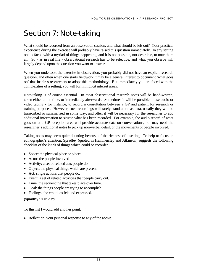# Section 7: Note-taking

What should be recorded from an observation session, and what should be left out? Your practical experience during the exercise will probably have raised this question immediately. In any setting one is faced with a myriad of things happening, and it is not possible, nor desirable, to note them all. So - as in real life - observational research has to be selective, and what you observe will largely depend upon the question you want to answer.

When you undertook the exercise in observation, you probably did not have an explicit research question, and often when one starts fieldwork it may be a general interest to document 'what goes on' that inspires researchers to adopt this methodology. But immediately you are faced with the complexities of a setting, you will form implicit interest areas.

Note-taking is of course essential. In most observational research notes will be hand-written, taken either at the time, or immediately afterwards. Sometimes it will be possible to use audio or video taping - for instance, to record a consultation between a GP and patient for research or training purposes. However, such recordings will rarely stand alone as data, usually they will be transcribed or summarised in some way, and often it will be necessary for the researcher to add additional information to situate what has been recorded. For example, the audio record of what goes on at a GP reception area will provide accurate data on conversations, but may need the researcher's additional notes to pick up non-verbal detail, or the movements of people involved.

Taking notes may seem quite daunting because of the richness of a setting. To help to focus an ethnographer's attention, Spradley (quoted in Hammersley and Atkinson) suggests the following checklist of the kinds of things which could be recorded:

- Space: the physical place or places.
- Actor: the people involved
- Activity: a set of related acts people do
- Object: the physical things which are present
- Act: single actions that people do.
- Event: a set of related activities that people carry out.
- Time: the sequencing that takes place over time.
- Goal: the things people are trying to accomplish.
- Feelings: the emotions felt and expressed.

#### **(Spradley 1980: 78ff)**

To this list I would add another point:

• Reflection: your personal response to any of the above.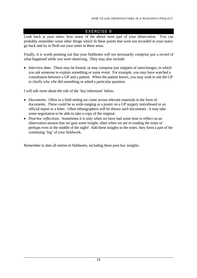#### EXERCISE 9

Look back at your notes: how many of the above were part of your observation. You can probably remember some other things which fit these points that were not recorded in your notes: go back and try to flesh out your notes in these areas.

Finally, it is worth pointing out that your fieldnotes will not necessarily comprise just a record of what happened while you were observing. They may also include:

• *Interview data*. These may be formal, or may comprise just snippets of interchanges, in which you ask someone to explain something or some event. For example, you may have watched a consultation between a GP and a patient. When the patient leaves, you may wish to ask the GP to clarify why s/he did something or asked a particular question.

I will talk more about the role of the 'key informant' below.

- *Documents.* Often in a field setting we come across relevant materials in the form of documents. These could be as wide-ranging as a poster on a GP surgery noticeboard or an official report or a letter. Often ethnographers will be shown such documents - it may take some negotiation to be able to take a copy of the original.
- *Post-hoc reflections*. Sometimes it is only when we have had some time to reflect on an observation session that we gain some insight, often when we are re-reading the notes or perhaps even in the middle of the night! Add these insights to the notes: they form a part of the continuing 'log' of your fieldwork.

Remember to date all entries in fieldnotes, including these post-hoc insights.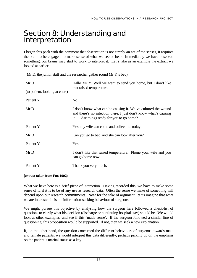# Section 8: Understanding and interpretation

I began this pack with the comment that observation is not simply an act of the senses, it requires the brain to be engaged, to make sense of what we see or hear. Immediately we have observed something, our brains may start to work to interpret it. Let's take as an example the extract we looked at earlier:

(Mr D, the junior staff and the researcher gather round Mr Y's bed)

| MrD<br>(to patient, looking at chart) | Hallo Mr Y. Well we want to send you home, but I don't like<br>that raised temperature.                                                                                       |
|---------------------------------------|-------------------------------------------------------------------------------------------------------------------------------------------------------------------------------|
| Patient Y                             | N <sub>0</sub>                                                                                                                                                                |
| MrD                                   | I don't know what can be causing it. We've cultured the wound<br>and there's no infection there. I just don't know what's causing<br>it  Are things ready for you to go home? |
| Patient Y                             | Yes, my wife can come and collect me today.                                                                                                                                   |
| MrD                                   | Can you go to bed, and she can look after you?                                                                                                                                |
| Patient Y                             | Yes.                                                                                                                                                                          |
| MrD                                   | I don't like that raised temperature. Phone your wife and you<br>can go home now.                                                                                             |
| Patient Y                             | Thank you very much.                                                                                                                                                          |

#### **(extract taken from Fox 1992)**

What we have here is a brief piece of interaction. Having recorded this, we have to make some sense of it, if it is to be of any use as research data. Often the sense we make of something will depend upon our research commitments. Now for the sake of argument, let us imagine that what we are interested in is the information-seeking behaviour of surgeons.

We might pursue this objective by analysing how the surgeon here followed a check-list of questions to clarify what his decision (discharge or continuing hospital stay) should be. We would look at other examples, and see if this 'made sense'. If the surgeon followed a similar line of questioning, this proposition would be supported. If not, then we seek a new explanation.

If, on the other hand, the question concerned the different behaviours of surgeons towards male and female patients, we would interpret this data differently, perhaps picking up on the emphasis on the patient's marital status as a key.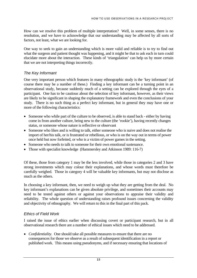How can we resolve this problem of multiple interpretation? Well, in some senses, there is no resolution, and we have to acknowledge that our understanding may be affected by all sorts of factors, not least, what we are looking for.

One way to seek to gain an understanding which is more valid and reliable is to try to find out what the surgeon and patient thought was happening, and it might be that to ask each in turn could elucidate more about the interaction. These kinds of 'triangulation' can help us by more certain that we are not interpreting things incorrectly.

## *The Key Informant*

One very important person which features in many ethnographic study is the 'key informant' (of course there may be a number of these.) Finding a key informant can be a turning point in an observational study, because suddenly much of a setting can be explored through the eyes of a participant. One has to be cautious about the selection of key informant, however, as their views are likely to be significant in shaping the explanatory framework and even the conclusions of your study. There is no such thing as a perfect key informant, but in general they may have one or more of the following characteristics:

- Someone who while part of the culture to be observed, is able to stand back either by having come in from another culture, being new to the culture (the 'rookie'), having recently changes status, or someone whose nature is reflective or observant
- Someone who likes and is willing to talk, either someone who is naive and does not realise the import of her/his talk, or is frustrated or rebellious, or who is on the way out in terms of power once held but now forfeited, or who is a victim of power games in the setting.
- Someone who needs to talk to someone for their own emotional sustenance.
- Those with specialist knowledge (Hammersley and Atkinson 1989: 116-7)

Of these, those from category 1 may be the less involved, while those in categories 2 and 3 have strong investments which may colour their explanations, and whose words must therefore be carefully weighed. Those in category 4 will be valuable key informants, but may not disclose as much as the others.

In choosing a key informant, then, we need to weigh up what they are getting from the deal. No key informant's explanations can be given absolute privilege, and sometimes their accounts may need to be tested against others or against your observations to appraise their validity and reliability. The whole question of understanding raises profound issues concerning the validity and objectivity of ethnography. We will return to this in the final part of this pack.

## *Ethics of Field Work*

I raised the issue of ethics earlier when discussing covert or participant research, but in all observational research there are a number of ethical issues which need to be addressed.

• *Confidentiality*. One should take all possible measures to ensure that there are no consequences for those we observe as a result of subsequent identification in a report or published work. This means using pseudonyms, and if necessary ensuring that locations of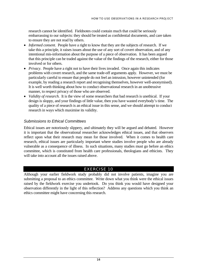research cannot be identified. Fieldnotes could contain much that could be seriously embarrassing to our subjects: they should be treated as confidential documents, and care taken to ensure they are not read by others.

- *Informed consent*. People have a right to know that they are the subjects of research. If we take this a principle, it raises issues about the use of any sort of covert observation, and of any intentional mis-information about the purpose of a piece of observation. It has been argued that this principle can be traded against the value of the findings of the research, either for those involved or for others.
- *Privacy*. People have a right not to have their lives invaded. Once again this indicates problems with covert research, and the same trade-off arguments apply. However, we must be particularly careful to ensure that people do not feel an intrusion, however unintended (for example, by reading a research report and recognising themselves, however well-anonymised). It is well worth thinking about how to conduct observational research in an unobtrusive manner, to respect privacy of those who are observed.
- *Validity of research.* It is the view of some researchers that bad research is unethical. If your design is sloppy, and your findings of little value, then you have wasted everybody's time. The quality of a piece of research is an ethical issue in this sense, and we should attempt to conduct research in ways which maximise its validity.

## *Submissions to Ethical Committees*

Ethical issues are notoriously slippery, and ultimately they will be argued and debated. However it is important that the observational researcher acknowledges ethical issues, and that observers reflect upon what their research may mean for those involved. When it comes to health care research, ethical issues are particularly important where studies involve people who are already vulnerable as a consequence of illness. In such situations, many studies must go before an ethics committee, which is constituted from health care professionals, theologians and ethicists. They will take into account all the issues raised above.

## EXERCISE 10

Although your earlier fieldwork study probably did not involve patients, imagine you are submitting a proposal to an ethics committee. Write down what you think were the ethical issues raised by the fieldwork exercise you undertook. Do you think you would have designed your observation differently in the light of this reflection? Address any questions which you think an ethics committee might have concerning this research.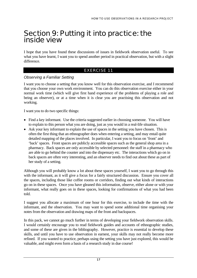## Section 9: Putting it into practice: the inside view

I hope that you have found these discussions of issues in fieldwork observation useful. To see what you have learnt, I want you to spend another period in practical observation, but with a slight difference.

## EXERCISE 11

#### *Observing a Familiar Setting*

I want you to choose a setting that you know well for this observation exercise, and I recommend that you choose your own work environment. You can do this observation exercise either in your normal work time (which will give first hand experience of the problems of playing a role and being an observer), or at a time when it is clear you are practising this observation and not working.

I want you to do two specific things:

- Find a key informant. Use the criteria suggested earlier in choosing someone. You will have to explain to this person what you are doing, just as you would in a real-life situation.
- Ask your key informant to explain the use of spaces in the setting you have chosen. This is often the first thing that an ethnographer does when entering a setting, and may entail quite detailed mapping of the places involved. In particular, I want you to focus on 'front' and 'back' spaces. Front spaces are publicly accessible spaces such as the general shop area in a pharmacy. Back spaces are only accessible by selected personnel: the staff in a pharmacy who are able to go behind the counter and into the dispensary etc. The interactions which go on in back spaces are often very interesting, and an observer needs to find out about these as part of her study of a setting.

Although you will probably know a lot about these spaces yourself, I want you to go through this with the informant, as it will give a focus for a fairly structured discussion. Ensure you cover all the spaces, including those like coffee rooms or corridors, finding out what kinds of interactions go on in these spaces. Once you have gleaned this information, observe, either alone or with your informant, what really goes on in these spaces, looking for confirmations of what you had been told.

I suggest you allocate a maximum of one hour for this exercise, to include the time with the informant, and the observation. You may want to spend some additional time organising your notes from the observation and drawing maps of the front and backspaces.

In this pack, we cannot go much further in terms of developing your fieldwork observation skills. I would certainly encourage you to read fieldwork guides and accounts of ethnographic studies, and some of these are given in the bibliography. However, practice is essential to develop these skills, and until you have to use observation in earnest, your skills may not really become more refined. If you wanted to practice, perhaps using the setting you have just explored, this would be valuable, and might even form a basis of a research study in due course!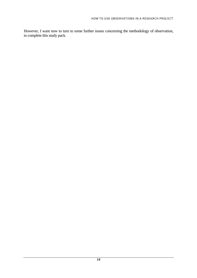However, I want now to turn to some further issues concerning the methodology of observation, to complete this study pack.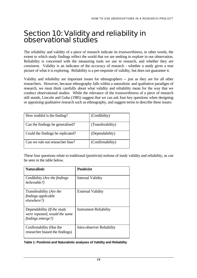# Section 10: Validity and reliability in observational studies

The reliability and validity of a piece of research indicate its *trustworthiness,* in other words, the extent to which study findings reflect the world that we are seeking to explore in our observation. Reliability is concerned with the measuring tools we use in research, and whether they are *consistent.* Validity is an indicator of the *accuracy* of research - whether a study gives a true picture of what it is exploring. Reliability is a pre-requisite of validity, but does not guarantee it.

Validity and reliability are important issues for ethnographers -- just as they are for all other researchers. However, because ethnography falls within a naturalistic and qualitative paradigm of research, we must think carefully about what validity and reliability mean for the way that we conduct observational studies. While the relevance of the *trustworthiness* of a piece of research still stands, Lincoln and Guba (1985) suggest that we can ask four key questions when designing or appraising qualitative research such as ethnography, and suggest terms to describe these issues:

| How truthful is the finding?      | (Credibility)     |
|-----------------------------------|-------------------|
| Can the findings be generalised?  | (Transferability) |
| Could the findings be replicated? | (Dependability)   |
| Can we rule out researcher bias?  | (Confirmability)  |

These four questions relate to traditional (positivist) notions of study validity and reliability, as can be seen in the table below.

| <b>Naturalistic</b>                                                               | <b>Positivist</b>             |
|-----------------------------------------------------------------------------------|-------------------------------|
| Credibility (Are the findings<br>believable?)                                     | <b>Internal Validity</b>      |
| Transferability (Are the<br>findings applicable<br>elsewhere?)                    | <b>External Validity</b>      |
| Dependability (If the study<br>were repeated, would the same<br>findings emerge?) | <b>Instrument Reliability</b> |
| Confirmability (Has the<br>researcher biased the findings)                        | Intra-observer Reliability    |

**Table 1: Positivist and Naturalistic analyses of Validity and Reliability**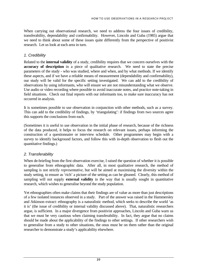When carrying out observational research, we need to address the four issues of credibility, transferability, dependability and confirmability. However, Lincoln and Guba (1985) argue that we need to think about some of these issues quite differently from the perspective of positivist research. Let us look at each area in turn.

#### *1. Credibility*

Related to the **internal validity** of a study, credibility requires that we concern ourselves with the **accuracy of description** in a piece of qualitative research. We need to state the precise parameters of the study - who was studied, where and when, and by what methods. If we identify these aspects, and if we have a reliable means of measurement (dependability and confirmability), our study will be valid for the specific setting investigated. We can add to the credibility of observations by using informants, who will ensure we are not misunderstanding what we observe. Use audio or video recording where possible to avoid inaccurate notes, and practice note-taking in field situations. Check out final reports with our informants too, to make sure inaccuracy has not occurred in analysis.

It is sometimes possible to use observation in conjunction with other methods, such as a survey. This can add to the credibility of findings, by 'triangulating': if findings from two sources agree this supports the conclusions from each.

(Sometimes it is useful to use observation in the initial phase of research, because of the richness of the data produced, it helps to focus the research on relevant issues, perhaps informing the construction of a questionnaire or interview schedule. Other programmes may begin with a survey to identify background factors, and follow this with in-depth observation to flesh out the quantitative findings.)

## *2. Transferability*

When de-briefing from the first observation exercise, I raised the question of whether it is possible to generalise from ethnographic data. After all, in most qualitative research, the method of sampling is not strictly *representative*, but will be aimed at maximising the diversity within the study setting, to ensure as 'rich' a picture of the setting as can be gleaned. Clearly, this method of sampling will not supply **external validity** in the way that is usually sought in quantitative research, which wishes to generalise beyond the study population.

Yet ethnographies often make claims that their findings are of value as more than just descriptions of a few isolated instances observed in a study. Part of the answer was raised in the Hammersley and Atkinson extract: ethnography is a naturalistic method, which seeks to describe the world 'as it is' (the issue of credibility or internal validity discussed above). That, naturalistic researchers argue, is sufficient. In a major divergence from positivist approaches, Lincoln and Guba warn us that we must be very cautious when claiming transferability. In fact, they argue that no claims should be made about the applicability of the findings to other settings. If other researchers wish to generalise from a study to other situations, the onus must be on them rather than the original researcher to demonstrate a study's applicability elsewhere.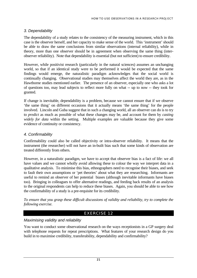#### *3. Dependability*

The dependability of a study relates to the consistency of the measuring instrument, which in this case is the observer herself, and her capacity to make sense of the world. This 'instrument' should be able to draw the same conclusions from similar observations (internal reliability), while in theory, more than one observer should be in agreement when observing the same thing (interobserver reliability). Note that dependability is essential (but not sufficient) to ensure credibility.

However, while positivist research (particularly in the natural sciences) assumes an unchanging world, so that if an identical study were to be performed it would be expected that the same findings would emerge, the naturalistic paradigm acknowledges that the social world is continually changing. Observational studies may themselves affect the world they are, as in the Hawthorne studies mentioned earlier. The presence of an observer, especially one who asks a lot of questions too, may lead subjects to reflect more fully on what -- up to now -- they took for granted.

If change is inevitable, dependability is a problem, because we cannot ensure that if we observe 'the same thing' on different occasions that it actually means 'the same thing' for the people involved. Lincoln and Guba suggest that in such a changing world, all an observer can do is to try to *predict* as much as possible of what these changes may be, and account for them by *casting widely for data* within the setting. Multiple examples are valuable because they give some evidence of continuity or consistency.

#### *4. Confirmability*

Confirmability could also be called objectivity or intra-observer reliability. It means that the instrument (the researcher) will not have an in-built bias such that some kinds of observation are treated differently from others.

However, in a naturalistic paradigm, we have to accept that observer bias is a fact of life: we all have values and we cannot wholly avoid allowing these to colour the way we interpret data in a qualitative analysis. To minimise this bias, ethnographers need to recognise their biases, and seek to fault their own assumptions or 'pet theories' about what they are researching. Informants are useful to remind an observer of her potential biases (although inevitable informants have biases too). Bringing in colleagues to offer alternative readings, and feeding back results of an analysis to the original respondents can help to reduce these biases. Again, you should be able to see how the confirmability of a study is a pre-requisite for its credibility.

*To ensure that you grasp these difficult discussions of validity and reliability, try to complete the following exercise.* 

## EXERCISE 12

#### *Maximising validity and reliability*

You want to conduct some observational research on the ways receptionists in a GP surgery deal with telephone requests for repeat prescriptions. What features of your research design do you build in to maximise credibility, transferability, dependability and confirmability?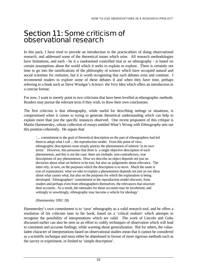## Section 11: Some criticism of observational research

In this pack, I have tried to provide an introduction to the practicalities of doing observational research, and addressed some of the theoretical issues which arise. All research methodologies have limitations, and each - be it a randomised controlled trial or an ethnography - is based on certain assumptions about the world which it seeks to explain or explore. There is certainly not time to go into the ramifications of the philosophy of science which have occupied natural and social scientists for centuries, but it is worth recognising that such debates exist and continue. I recommend readers to explore some of these debates if and when they have time, perhaps referring to a book such as Steve Woolgar's *Science: the Very Idea* which offers an introduction in a concise format.

For now, I want to merely point to two criticisms that have been levelled at ethnographic methods. Readers may pursue the relevant texts if they wish, to draw their own conclusions.

The first criticism is that ethnography, while useful for describing settings or situations, is compromised when it comes to trying to generate theoretical understanding which can help to explain more than just the specific instances observed. One recent proponent of this critique is Martin Hammersley, whose collection of essays entitled *What's Wrong with Ethnography* sets out this position coherently. He argues that:

'.... commitment to the goal of theoretical description on the part of ethnographers had led them to adopt what I call ... the reproduction model. From this point of view, ethnographic descriptions must simply portray the phenomenon of interest 'in its own terms'. However, this presumes that there is a single objective description of each phenomenon, and this is not the case: there are multiple, non-contradictory, true descriptions of any phenomenon. How we describe an object depends not just on decisions about what we believe to be true, but also on judgements about relevance. The latter rely, in turn, on the purposes which the description is to serve. Much the same is true of explanations: what we take to explain a phenomenon depends not just on our ideas about what causes what, but also on the purposes for which the explanation is being developed. Ethnographers' commitment to the reproduction model obscures, from readers and perhaps even from ethnographers themselves, the relevances that structure their accounts. As a result, the rationales for those accounts may be incoherent; and wittingly or unwittingly, ethnography may become a vehicle for ideology'.

(Hammersley 1992: 28)

Hammersley's own commitment is to 'save' ethnography as a valid research tool, and he offers a resolution of his criticism later in his book, based on a 'critical realism' which attempts to recognise the possibility of interpretations which are valid. The work of Lincoln and Guba discussed earlier can also be seen as an effort to codify techniques of observation which will lead to consistent and accurate findings, while warning about generalization. But for others, the valueladen character of interpretations based on observational studies mean that it cannot be considered as a scientific technique and must either be abandoned in favour of more rigorous methods such as the survey or experiment, or limited to 'simple description'.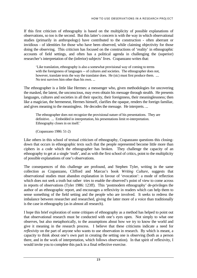If this first criticism of ethnography is based on the multiplicity of possible explanations of observations, so too is the second. But this latter's concern is with the way in which observational studies (primarily in anthropology) have contributed to the construction - often aberrant or invidious - of identities for those who have been observed, while claiming objectivity for those doing the observing. This criticism has focused on the constructions of 'reality' in ethnographic accounts of field settings, and often has a political agenda in challenging the (superior) researcher's interpretation of the (inferior) subjects' lives. Crapanzano writes that:

'Like translation, ethnography is also a somewhat provisional way of coming to terms with the foreignness of languages -- of cultures and societies. The ethnographer does not, however, translate texts the way the translator does. He (sic) must first produce them. .... No text survives him other than his own. ...

The ethnographer is a little like Hermes: a messenger who, given methodologies for uncovering the masked, the latent, the unconscious, may even obtain his message through stealth. He presents languages, cultures and societies in all their opacity, their foreignness, their meaninglessness; then like a magician, the hermeneut, Hermes himself, clarifies the opaque, renders the foreign familiar, and gives meaning to the meaningless. He decodes the message. He interprets. ...

The ethnographer does not recognize the provisional nature of his presentations. They are definitive. ... Embedded in interpretation, his presentations limit re-interpretation. Ethnography closes in on itself.'

(Crapanzano 1986: 51-2)

Like others in this school of textual criticism of ethnography, Crapanzano questions this closingdown that occurs in ethnographic texts such that the people represented become little more than ciphers in a code which the ethnographer has broken. They challenge the capacity of an ethnography to get at a single 'truth', and as with the first school of critics, point to the multiplicity of possible explanations of one's observations.

The consequences of this challenge are profound, and Stephen Tyler, writing in the same collection as Crapanzano, Clifford and Marcus's book *Writing Culture,* suggests that observational studies must abandon explanation in favour of 'evocation': a mode of reflection which does not seek a truth but rather tries to enable the observed's point of view to come across in reports of observations (Tyler 1986: 123ff). This 'postmodern ethnography' de-privileges the author of an ethnographic report, and encourages a reflexivity in readers which can help them to sense something of the field setting and the people who are involved. It seeks to redress the imbalance between researcher and researched, giving the latter more of a voice than traditionally is the case in ethnography (as in almost all research).

I hope this brief exploration of some critiques of ethnography as a method has helped to point out that observational research must be conducted with one's eyes open. Not simply to what one observes, but also metaphorically, to the assumptions about how we try to know the world and give it meaning in the research process. I believe that these criticisms indicate a need for *reflexivity* on the part of anyone who wants to use observation in research. By which is meant, a capacity to think about one's own part in creating the setting one is observing (both as a person there, and in the work of interpretation, which follows observation). In that spirit of reflexivity, I would invite you to complete this pack in a final reflective exercise.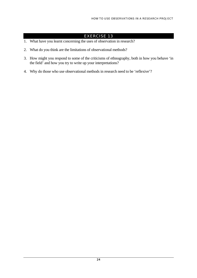## EXERCISE 13

- 1. What have you learnt concerning the uses of observation in research?
- 2. What do you think are the limitations of observational methods?
- 3. How might you respond to some of the criticisms of ethnography, both in how you behave 'in the field' and how you try to write up your interpretations?
- 4. Why do those who use observational methods in research need to be 'reflexive'?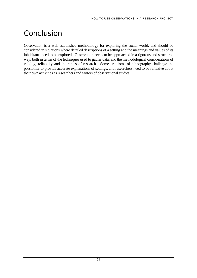# **Conclusion**

Observation is a well-established methodology for exploring the social world, and should be considered in situations where detailed descriptions of a setting and the meanings and values of its inhabitants need to be explored. Observation needs to be approached in a rigorous and structured way, both in terms of the techniques used to gather data, and the methodological considerations of validity, reliability and the ethics of research. Some criticisms of ethnography challenge the possibility to provide accurate explanations of settings, and researchers need to be reflexive about their own activities as researchers and writers of observational studies.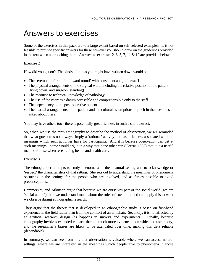# Answers to exercises

Some of the exercises in this pack are to a large extent based on self-selected examples. It is not feasible to provide specific answers for these however you should draw on the guidelines provided in the text when approaching them. Answers to exercises 2, 3, 5, 7, 11 & 12 are provided below:

#### Exercise 2

How did you get on? The kinds of things you might have written down would be:

- The ceremonial form of the 'ward round' with consultant and junior staff
- The physical arrangements of the surgical ward, including the relative position of the patient (lying down) and surgeon (standing)
- The recourse to technical knowledge of pathology
- The use of the chart as a datum accessible and comprehensible only to the staff
- The dependency of the post-operative patient
- The marital arrangements of the patient and the cultural assumptions implicit in the questions asked about these.

You may have others too - there is potentially great richness in such a short extract.

So, when we use the term ethnography to describe the method of observation, we are reminded that what goes on is not always simply a 'rational' activity but has a richness associated with the meanings which such activities have for participants. And it is because observation can get at such meanings - some would argue in a way that none other can (Geertz, 1983) that it is a useful method for use when researching health and health care.

#### Exercise 3

The ethnographer attempts to study phenomena in their natural setting and to acknowledge or 'respect' the characteristics of that setting. She sets out to understand the meanings of phenomena occurring in the settings for the people who are involved, and as far as possible to avoid preconceptions.

Hammersley and Atkinson argue that because we are ourselves part of the social world (we are 'social actors') then we understand much about the rules of social life and can apply this to what we observe during ethnographic research.

They argue that the theory that is developed in an ethnographic study is based on first-hand experience in the field rather than from the comfort of an armchair. Secondly, it is not affected by an artificial research design (as happens in surveys and experiments). Finally, because ethnography involves extended contact, there is much more evidence upon which to base theory, and the researcher's biases are likely to be attenuated over time, making this data reliable (dependable).

In summary, we can see from this that observation is valuable where we can access natural settings, where we are interested in the meanings which people give to phenomena in those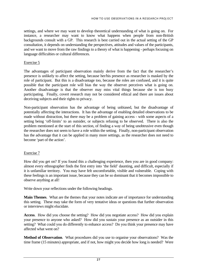#### HOW TO USE OBSERVATIONS IN A RESEARCH PROJECT

settings, and where we may want to develop theoretical understanding of what is going on. For instance, a researcher may want to know what happens when people from non-British backgrounds consult with a GP. This research is best carried out in the actual setting of the GP consultation, it depends on understanding the perspectives, attitudes and values of the participants, and we want to move from the raw findings to a theory of what is happening - perhaps focusing on language difficulties or cultural differences.

#### Exercise 5

The advantages of participant observation mainly derive from the fact that the researcher's presence is unlikely to affect the setting, because her/his presence as researcher is masked by the role of participant. But this is a disadvantage too, because the roles are confused, and it is quite possible that the participant role will bias the way the observer perceives what is going on. Another disadvantage is that the observer may miss vital things because she is too busy participating. Finally, covert research may not be considered ethical and there are issues about deceiving subjects and their rights to privacy.

Non-participant observation has the advantage of being unbiased, but the disadvantage of potentially affecting the interactions. It has the advantage of enabling detailed observations to be made without distraction, but there may be a problem of gaining access - with some aspects of a setting being 'off-limits' to an outsider, or subjects refusing to be observed. There is also the problem mentioned at the start of this section, of finding a way of being unobtrusive even though the researcher does not seem to have a role within the setting. Finally, non-participant observation has the advantage that it can be applied in many more settings, as the researcher does not need to become 'part of the action'.

#### Exercise 7

How did you get on? If you found this a challenging experience, then you are in good company: almost every ethnographer finds the first entry into 'the field' daunting, and difficult, especially if it is unfamiliar territory. You may have felt uncomfortable, visible and vulnerable. Coping with these feelings is an important issue, because they can be so dominant that it becomes impossible to observe anything at all!

Write down your reflections under the following headings.

**Main Themes**. What are the themes that your notes indicate are of importance for understanding this setting. These may take the form of very tentative ideas or questions that further observation or interviews might elucidate.

**Access**. How did you choose the setting? How did you negotiate access? How did you explain your presence to anyone who asked? How did you sustain your presence as an outsider in this setting? What could you do differently to enhance access? Do you think your presence may have affected what went on?

**Method of Observation**. What procedures did you use to organise your observations? Was the time frame (15 minutes) appropriate, and if not, how might you decide how long is needed? Were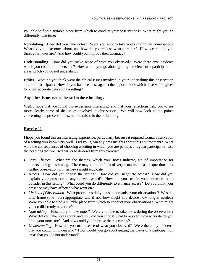you able to find a suitable place from which to conduct your observations? What might you do differently next time?

**Note-taking**. How did you take notes? Were you able to take notes during the observation? What did you take notes about, and how did you choose what to report? How accurate do you think your notes are? And how could you improve their accuracy?

**Understanding**. How did you make sense of what you observed? Were there any incidents which you could not understand? How would you go about getting the views of a participant on areas which you do not understand?

**Ethics**. What do you think were the ethical issues involved in your undertaking this observation as a non-participant? How do you balance these against the opportunities which observation gives to obtain accurate data about a setting?

#### **Any other issues not addressed in these headings.**

Well, I hope that you found this experience interesting, and that your reflections help you to see more clearly come of the issues involved in observation. We will now look at the points concerning the process of observation raised in the de-briefing.

#### Exercise 11

I hope you found this an interesting experience, particularly because it required formal observation of a setting you know very well. Did you glean any new insights about this environment? What were the consequences of choosing a setting in which you are perhaps a regular participant? Use the headings that we used earlier to de-brief from this exercise:

- Main Themes. What are the themes, which your notes indicate, are of importance for understanding this setting. These may take the form of very tentative ideas or questions that further observation or interviews might elucidate.
- *Access.* How did you choose the setting? How did you negotiate access? How did you explain your presence to anyone who asked? How did you sustain your presence as an outsider in this setting? What could you do differently to enhance access? Do you think your presence may have affected what went on?
- *Method of Observation*. What procedures did you use to organise your observations? Was the time frame (one hour) appropriate, and if not, how might you decide how long is needed? Were you able to find a suitable place from which to conduct your observations? What might you do differently next time?
- *Note-taking.* How did you take notes? Were you able to take notes during the observation? What did you take notes about, and how did you choose what to report? How accurate do you think your notes are? And how could you improve their accuracy?
- *Understanding.* How did you make sense of what you observed? Were there any incidents that you could not understand? How would you go about getting the views of a participant on areas that you do not understand?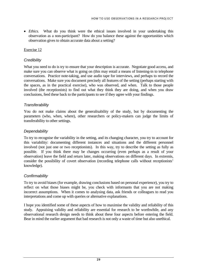What do you think were the ethical issues involved in your undertaking this observation as a non-participant? How do you balance these against the opportunities which observation gives to obtain accurate data about a setting? • Ethics.

#### Exercise 12

#### *Credibility*

What you need to do is try to ensure that your description is accurate. Negotiate good access, and make sure you can observe what is going on (this may entail a means of listening-in to telephone conversations. Practice note-taking, and use audio tape for interviews, and perhaps to record the conversations. Make sure you document precisely all features of the setting (perhaps starting with the spaces, as in the practical exercise), who was observed, and when. Talk to those people involved (the receptionists) to find out what they think they are doing, and when you draw conclusions, feed these back to the participants to see if they agree with your findings.

#### *Transferability*

You do not make claims about the generalisability of the study, but by documenting the parameters (who, when, where), other researchers or policy-makers can judge the limits of transferability to other settings.

#### *Dependability*

To try to recognise the variability in the setting, and its changing character, you try to account for this variability: documenting different instances and situations and the different personnel involved (not just one or two receptionists). In this way, try to describe the setting as fully as possible. If you think there may be changes occurring (even perhaps as a result of your observation) leave the field and return later, making observations on different days. In extremis, consider the possibility of covert observation (recording telephone calls without receptionists' knowledge).

## *Confirmability*

To try to avoid biases (for example, drawing conclusions based on personal experience), you try to reflect on what those biases might be, you check with informants that you are not making incorrect assumptions. When it comes to analysing data, ask friends or colleagues to read you interpretations and come up with queries or alternative explanations.

I hope you identified some of these aspects of how to maximise the validity and reliability of this study. Appraising validity and reliability are essential for research to be worthwhile, and any observational research design needs to think about these four aspects before entering the field. Bear in mind the earlier argument that bad research is not only a waste of time but also unethical.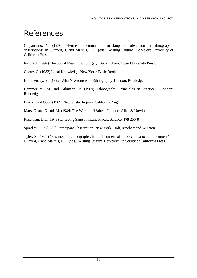# **References**

Crapanzano, V. (1986) 'Hermes' dilemma: the masking of subversion in ethnographic descriptions' In Clifford, J. and Marcus, G.E. (eds.) Writing Culture Berkeley: University of California Press.

Fox, N.J. (1992) The Social Meaning of Surgery Buckingham: Open University Press.

Geertz, C. (1983) Local Knowledge. New York: Basic Books.

Hammersley, M. (1992) What's Wrong with Ethnography London: Routledge.

Hammersley, M. and Atkinson, P. (1989) Ethnography. Principles in Practice. London: Routledge.

Lincoln and Guba (1985) Naturalistic Inquiry California: Sage.

Mars, G. and Nicod, M. (1984) The World of Waiters. London: Allen & Unwin.

Rosenhan, D.L. (1973) On Being Sane in Insane Places. Science, **179** 250-8

Spradley, J. P. (1980) Participant Observation New York: Holt, Rinehart and Winston.

Tyler, S. (1986) 'Postmodern ethnography: from document of the occult to occult document' In Clifford, J. and Marcus, G.E. (eds.) Writing Culture Berkeley: University of California Press.